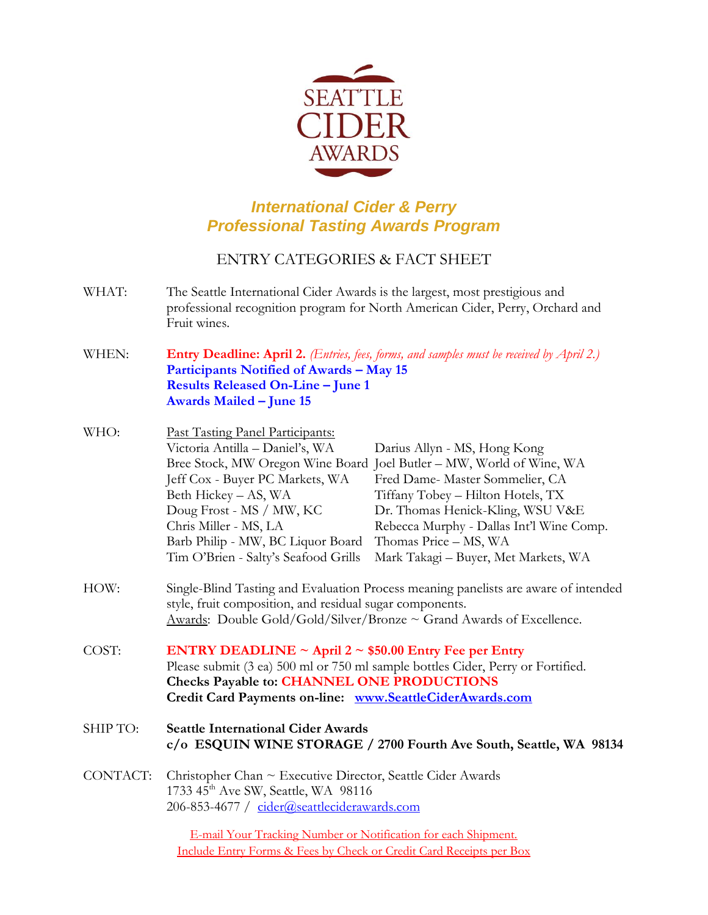

## *International Cider & Perry Professional Tasting Awards Program*

## ENTRY CATEGORIES & FACT SHEET

- WHAT: The Seattle International Cider Awards is the largest, most prestigious and professional recognition program for North American Cider, Perry, Orchard and Fruit wines.
- WHEN: **Entry Deadline: April 2.** *(Entries, fees, forms, and samples must be received by April 2.)* **Participants Notified of Awards – May 15 Results Released On-Line – June 1 Awards Mailed – June 15**
- WHO: Past Tasting Panel Participants: Victoria Antilla – Daniel's, WA Darius Allyn - MS, Hong Kong Bree Stock, MW Oregon Wine Board Joel Butler – MW, World of Wine, WA Jeff Cox - Buyer PC Markets, WA Fred Dame- Master Sommelier, CA Beth Hickey – AS, WA Tiffany Tobey – Hilton Hotels, TX Doug Frost - MS / MW, KC Dr. Thomas Henick-Kling, WSU V&E Chris Miller - MS, LA Rebecca Murphy - Dallas Int'l Wine Comp. Barb Philip - MW, BC Liquor Board Thomas Price – MS, WA Tim O'Brien - Salty's Seafood Grills Mark Takagi – Buyer, Met Markets, WA
- HOW: Single-Blind Tasting and Evaluation Process meaning panelists are aware of intended style, fruit composition, and residual sugar components. Awards: Double Gold/Gold/Silver/Bronze  $\sim$  Grand Awards of Excellence.
- COST: **ENTRY DEADLINE ~ April 2 ~ \$50.00 Entry Fee per Entry** Please submit (3 ea) 500 ml or 750 ml sample bottles Cider, Perry or Fortified. **Checks Payable to: CHANNEL ONE PRODUCTIONS Credit Card Payments on-line: [www.SeattleCiderAwards.com](http://www.seattleciderawards.com/)**
- SHIP TO: **Seattle International Cider Awards c/o ESQUIN WINE STORAGE / 2700 Fourth Ave South, Seattle, WA 98134**
- CONTACT: Christopher Chan ~ Executive Director, Seattle Cider Awards 1733  $45<sup>th</sup>$  Ave SW, Seattle, WA 98116 206-853-4677 / [cider@seattleciderawards.com](mailto:cider@seattleciderawards.com)

E-mail Your Tracking Number or Notification for each Shipment. Include Entry Forms & Fees by Check or Credit Card Receipts per Box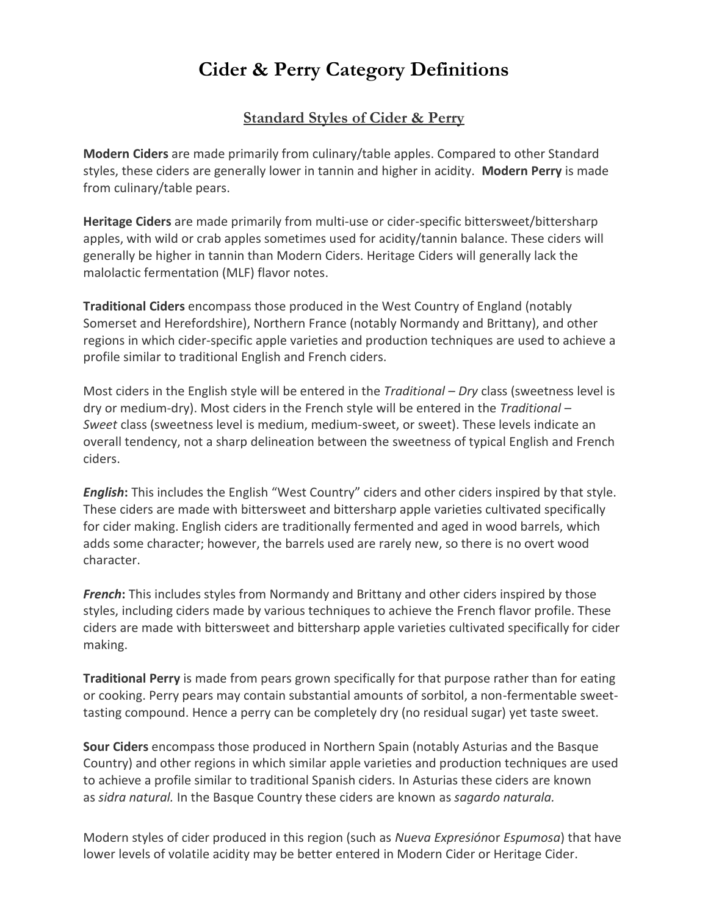# **Cider & Perry Category Definitions**

## **Standard Styles of Cider & Perry**

**Modern Ciders** are made primarily from culinary/table apples. Compared to other Standard styles, these ciders are generally lower in tannin and higher in acidity. **Modern Perry** is made from culinary/table pears.

**Heritage Ciders** are made primarily from multi-use or cider-specific bittersweet/bittersharp apples, with wild or crab apples sometimes used for acidity/tannin balance. These ciders will generally be higher in tannin than Modern Ciders. Heritage Ciders will generally lack the malolactic fermentation (MLF) flavor notes.

**Traditional Ciders** encompass those produced in the West Country of England (notably Somerset and Herefordshire), Northern France (notably Normandy and Brittany), and other regions in which cider-specific apple varieties and production techniques are used to achieve a profile similar to traditional English and French ciders.

Most ciders in the English style will be entered in the *Traditional – Dry* class (sweetness level is dry or medium-dry). Most ciders in the French style will be entered in the *Traditional – Sweet* class (sweetness level is medium, medium-sweet, or sweet). These levels indicate an overall tendency, not a sharp delineation between the sweetness of typical English and French ciders.

*English***:** This includes the English "West Country" ciders and other ciders inspired by that style. These ciders are made with bittersweet and bittersharp apple varieties cultivated specifically for cider making. English ciders are traditionally fermented and aged in wood barrels, which adds some character; however, the barrels used are rarely new, so there is no overt wood character.

*French***:** This includes styles from Normandy and Brittany and other ciders inspired by those styles, including ciders made by various techniques to achieve the French flavor profile. These ciders are made with bittersweet and bittersharp apple varieties cultivated specifically for cider making.

**Traditional Perry** is made from pears grown specifically for that purpose rather than for eating or cooking. Perry pears may contain substantial amounts of sorbitol, a non-fermentable sweettasting compound. Hence a perry can be completely dry (no residual sugar) yet taste sweet.

**Sour Ciders** encompass those produced in Northern Spain (notably Asturias and the Basque Country) and other regions in which similar apple varieties and production techniques are used to achieve a profile similar to traditional Spanish ciders. In Asturias these ciders are known as *sidra natural.* In the Basque Country these ciders are known as *sagardo naturala.*

Modern styles of cider produced in this region (such as *Nueva Expresión*or *Espumosa*) that have lower levels of volatile acidity may be better entered in Modern Cider or Heritage Cider.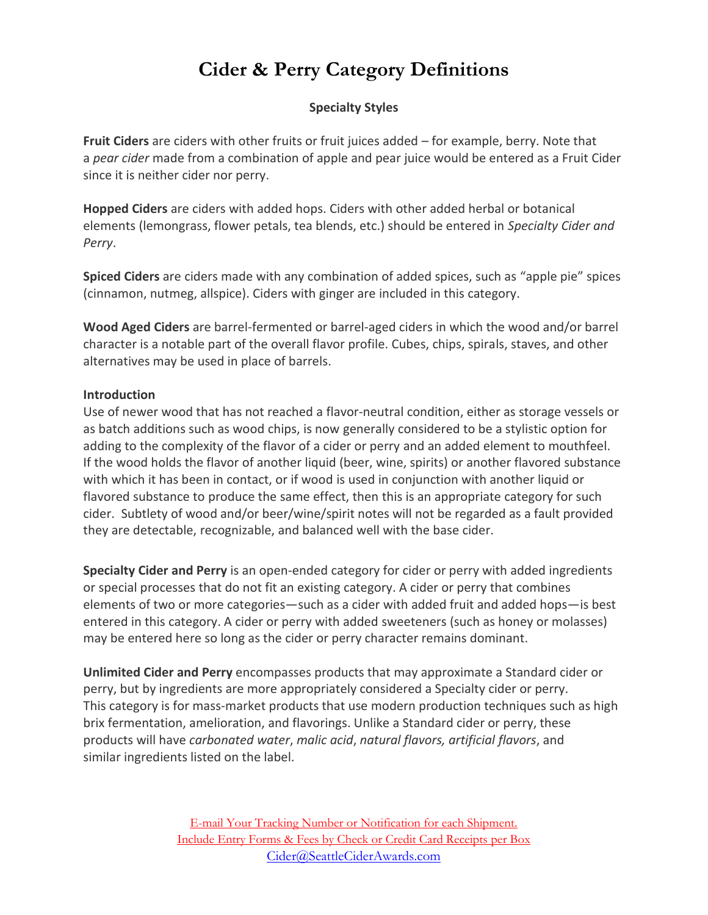# **Cider & Perry Category Definitions**

## **Specialty Styles**

**Fruit Ciders** are ciders with other fruits or fruit juices added – for example, berry. Note that a *pear cider* made from a combination of apple and pear juice would be entered as a Fruit Cider since it is neither cider nor perry.

**Hopped Ciders** are ciders with added hops. Ciders with other added herbal or botanical elements (lemongrass, flower petals, tea blends, etc.) should be entered in *Specialty Cider and Perry*.

**Spiced Ciders** are ciders made with any combination of added spices, such as "apple pie" spices (cinnamon, nutmeg, allspice). Ciders with ginger are included in this category.

**Wood Aged Ciders** are barrel-fermented or barrel-aged ciders in which the wood and/or barrel character is a notable part of the overall flavor profile. Cubes, chips, spirals, staves, and other alternatives may be used in place of barrels.

#### **Introduction**

Use of newer wood that has not reached a flavor‐neutral condition, either as storage vessels or as batch additions such as wood chips, is now generally considered to be a stylistic option for adding to the complexity of the flavor of a cider or perry and an added element to mouthfeel. If the wood holds the flavor of another liquid (beer, wine, spirits) or another flavored substance with which it has been in contact, or if wood is used in conjunction with another liquid or flavored substance to produce the same effect, then this is an appropriate category for such cider. Subtlety of wood and/or beer/wine/spirit notes will not be regarded as a fault provided they are detectable, recognizable, and balanced well with the base cider.

**Specialty Cider and Perry** is an open-ended category for cider or perry with added ingredients or special processes that do not fit an existing category. A cider or perry that combines elements of two or more categories—such as a cider with added fruit and added hops—is best entered in this category. A cider or perry with added sweeteners (such as honey or molasses) may be entered here so long as the cider or perry character remains dominant.

**Unlimited Cider and Perry** encompasses products that may approximate a Standard cider or perry, but by ingredients are more appropriately considered a Specialty cider or perry. This category is for mass-market products that use modern production techniques such as high brix fermentation, amelioration, and flavorings. Unlike a Standard cider or perry, these products will have *carbonated water*, *malic acid*, *natural flavors, artificial flavors*, and similar ingredients listed on the label.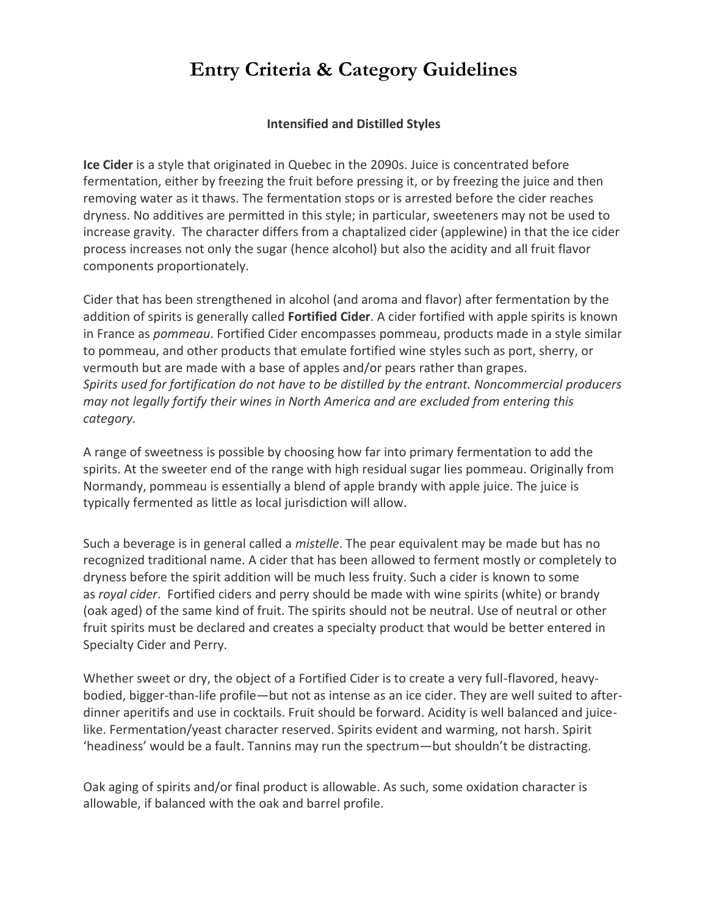# **Entry Criteria & Category Guidelines**

#### **Intensified and Distilled Styles**

**Ice Cider** is a style that originated in Quebec in the 2090s. Juice is concentrated before fermentation, either by freezing the fruit before pressing it, or by freezing the juice and then removing water as it thaws. The fermentation stops or is arrested before the cider reaches dryness. No additives are permitted in this style; in particular, sweeteners may not be used to increase gravity. The character differs from a chaptalized cider (applewine) in that the ice cider process increases not only the sugar (hence alcohol) but also the acidity and all fruit flavor components proportionately.

Cider that has been strengthened in alcohol (and aroma and flavor) after fermentation by the addition of spirits is generally called **Fortified Cider**. A cider fortified with apple spirits is known in France as *pommeau*. Fortified Cider encompasses pommeau, products made in a style similar to pommeau, and other products that emulate fortified wine styles such as port, sherry, or vermouth but are made with a base of apples and/or pears rather than grapes. *Spirits used for fortification do not have to be distilled by the entrant. Noncommercial producers may not legally fortify their wines in North America and are excluded from entering this category.*

A range of sweetness is possible by choosing how far into primary fermentation to add the spirits. At the sweeter end of the range with high residual sugar lies pommeau. Originally from Normandy, pommeau is essentially a blend of apple brandy with apple juice. The juice is typically fermented as little as local jurisdiction will allow.

Such a beverage is in general called a *mistelle*. The pear equivalent may be made but has no recognized traditional name. A cider that has been allowed to ferment mostly or completely to dryness before the spirit addition will be much less fruity. Such a cider is known to some as *royal cider*. Fortified ciders and perry should be made with wine spirits (white) or brandy (oak aged) of the same kind of fruit. The spirits should not be neutral. Use of neutral or other fruit spirits must be declared and creates a specialty product that would be better entered in Specialty Cider and Perry.

Whether sweet or dry, the object of a Fortified Cider is to create a very full-flavored, heavybodied, bigger-than-life profile—but not as intense as an ice cider. They are well suited to afterdinner aperitifs and use in cocktails. Fruit should be forward. Acidity is well balanced and juicelike. Fermentation/yeast character reserved. Spirits evident and warming, not harsh. Spirit 'headiness' would be a fault. Tannins may run the spectrum—but shouldn't be distracting.

Oak aging of spirits and/or final product is allowable. As such, some oxidation character is allowable, if balanced with the oak and barrel profile.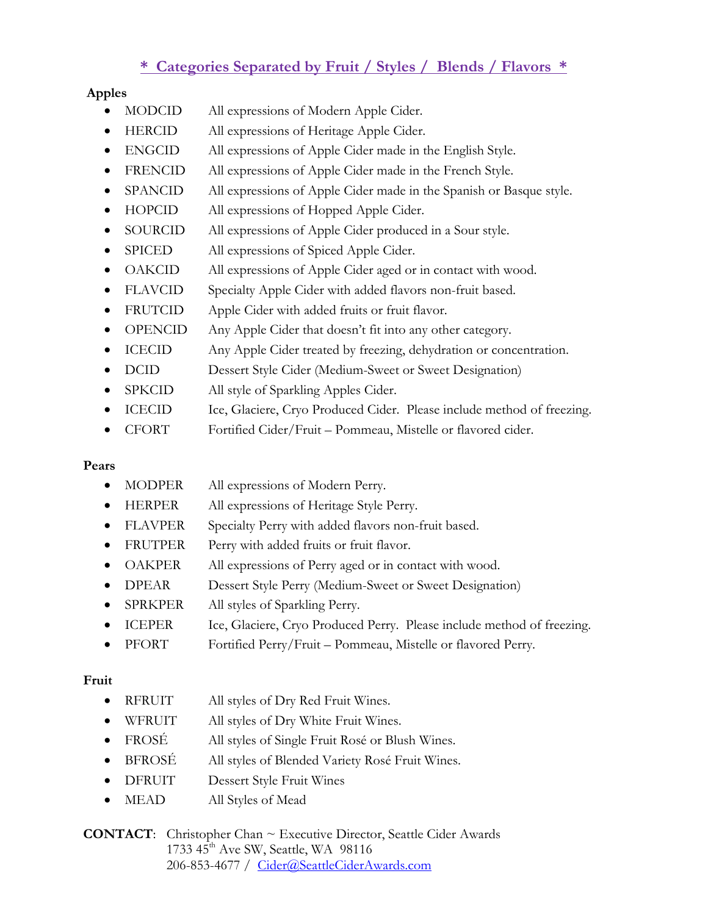## **\* Categories Separated by Fruit / Styles / Blends / Flavors \***

## **Apples**

- MODCID All expressions of Modern Apple Cider.
- HERCID All expressions of Heritage Apple Cider.
- ENGCID All expressions of Apple Cider made in the English Style.
- FRENCID All expressions of Apple Cider made in the French Style.
- SPANCID All expressions of Apple Cider made in the Spanish or Basque style.
- HOPCID All expressions of Hopped Apple Cider.
- SOURCID All expressions of Apple Cider produced in a Sour style.
- SPICED All expressions of Spiced Apple Cider.
- OAKCID All expressions of Apple Cider aged or in contact with wood.
- FLAVCID Specialty Apple Cider with added flavors non-fruit based.
- FRUTCID Apple Cider with added fruits or fruit flavor.
- OPENCID Any Apple Cider that doesn't fit into any other category.
- ICECID Any Apple Cider treated by freezing, dehydration or concentration.
- DCID Dessert Style Cider (Medium-Sweet or Sweet Designation)
- SPKCID All style of Sparkling Apples Cider.
- ICECID Ice, Glaciere, Cryo Produced Cider. Please include method of freezing.
- CFORT Fortified Cider/Fruit Pommeau, Mistelle or flavored cider.

## **Pears**

- MODPER All expressions of Modern Perry.
- HERPER All expressions of Heritage Style Perry.
- FLAVPER Specialty Perry with added flavors non-fruit based.
- FRUTPER Perry with added fruits or fruit flavor.
- OAKPER All expressions of Perry aged or in contact with wood.
- **DPEAR** Dessert Style Perry (Medium-Sweet or Sweet Designation)
- SPRKPER All styles of Sparkling Perry.
- ICEPER Ice, Glaciere, Cryo Produced Perry. Please include method of freezing.
- PFORT Fortified Perry/Fruit Pommeau, Mistelle or flavored Perry.

## **Fruit**

- RFRUIT All styles of Dry Red Fruit Wines.
- WFRUIT All styles of Dry White Fruit Wines.
- FROSÉ All styles of Single Fruit Rosé or Blush Wines.
- BFROSÉ All styles of Blended Variety Rosé Fruit Wines.
- DFRUIT Dessert Style Fruit Wines
- MEAD All Styles of Mead

**CONTACT**: Christopher Chan ~ Executive Director, Seattle Cider Awards 1733 45<sup>th</sup> Ave SW, Seattle, WA 98116 206-853-4677 / [Cider@SeattleCiderAwards.com](mailto:Cider@SeattleCiderAwards.com)